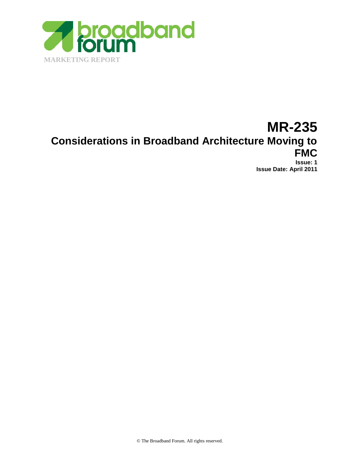MARKETING REPORT

# MR-235

Considerations in Broadband Architecture Moving to

# FMC

Issue : 1 Issue Date: April 2011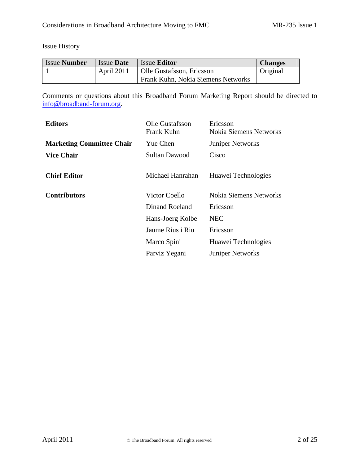# **Issue History**

| <b>IssueNumber</b> | <b>IssueDate</b>  | <b>IssueEditor</b>                | Changes  |
|--------------------|-------------------|-----------------------------------|----------|
|                    | <b>April 2011</b> | Olle GustafssonEricsson           | Original |
|                    |                   | Frank Kuhn Nokia Siemens Networks |          |

Commentsor questionsabout thisBroadband ForumMarketing Reportshould be directed to info@broadbandorum.org

| <b>Editors</b>            | <b>Olle Gustafsson</b><br><b>Frank Kuhn</b> | Ericsson<br><b>Nokia Siemens Networks</b> |
|---------------------------|---------------------------------------------|-------------------------------------------|
| Marketing Committee Chair | <b>Yue Chen</b>                             | <b>JuniperNetworks</b>                    |
| <b>Vice Chair</b>         | Sultan Dawood                               | Cisco                                     |
| <b>Chief Editor</b>       |                                             | Michael Hanrahan HuaweiTechnologies       |
| Contributors              | <b>Victor Coello</b>                        | <b>Nokia Siemens Networks</b>             |
|                           | <b>Dinand Roeland</b>                       | Ericsson                                  |
|                           | HansJoerg Kolbe                             | <b>NEC</b>                                |
|                           | Jaume Rius i Riu                            | Ericsson                                  |
|                           | Marco Spini                                 | <b>HuaweiTechnologies</b>                 |
|                           |                                             |                                           |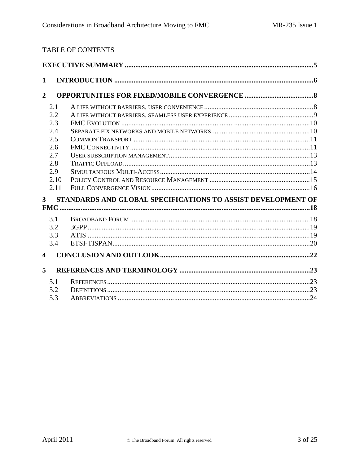# TABLE OF CONTENTS

| 1                       |      |                                                              |  |
|-------------------------|------|--------------------------------------------------------------|--|
| $\overline{2}$          |      |                                                              |  |
|                         | 2.1  |                                                              |  |
|                         | 2.2  |                                                              |  |
|                         | 2.3  |                                                              |  |
|                         | 2.4  |                                                              |  |
|                         | 2.5  |                                                              |  |
|                         | 2.6  |                                                              |  |
|                         | 2.7  |                                                              |  |
|                         | 2.8  |                                                              |  |
|                         | 2.9  |                                                              |  |
|                         | 2.10 |                                                              |  |
|                         | 2.11 |                                                              |  |
| 3 <sup>1</sup>          |      | STANDARDS AND GLOBAL SPECIFICATIONS TO ASSIST DEVELOPMENT OF |  |
|                         |      |                                                              |  |
|                         | 3.1  |                                                              |  |
|                         | 3.2  |                                                              |  |
|                         | 3.3  |                                                              |  |
|                         | 3.4  |                                                              |  |
| $\overline{\mathbf{4}}$ |      |                                                              |  |
| 5                       |      |                                                              |  |
|                         | 5.1  |                                                              |  |
|                         | 5.2  |                                                              |  |
|                         | 5.3  |                                                              |  |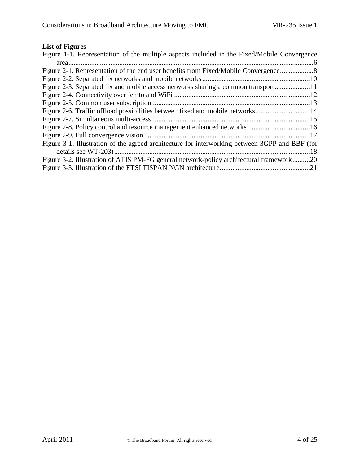# **List of Figures**

| Figure 1-1. Representation of the multiple aspects included in the Fixed/Mobile Convergence    |
|------------------------------------------------------------------------------------------------|
|                                                                                                |
| Figure 2-1. Representation of the end user benefits from Fixed/Mobile Convergence              |
|                                                                                                |
| Figure 2-3. Separated fix and mobile access networks sharing a common transport                |
|                                                                                                |
|                                                                                                |
| Figure 2-6. Traffic offload possibilities between fixed and mobile networks14                  |
|                                                                                                |
|                                                                                                |
|                                                                                                |
| Figure 3-1. Illustration of the agreed architecture for interworking between 3GPP and BBF (for |
|                                                                                                |
| Figure 3-2. Illustration of ATIS PM-FG general network-policy architectural framework20        |
|                                                                                                |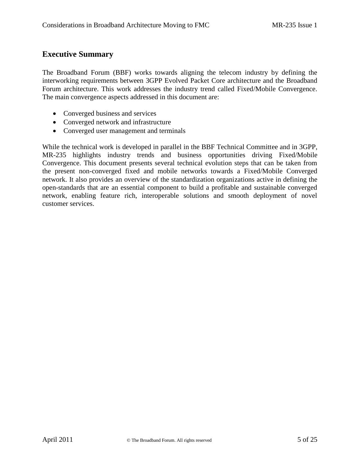### **Executive Summary**

The Broadband Forum (BBF) works towards aligning the telecom industry by defining the interworking requirements between 3GPP Evolved Packet Core architecture and the Broadband Forum architecture. This work addresses the industry trend called Fixed/Mobile Convergence. The main convergence aspects addressed in this document are:

- Converged business and services
- Converged network and infrastructure
- Converged user management and terminals

While the technical work is developed in parallel in the BBF Technical Committee and in 3GPP, MR-235 highlights industry trends and business opportunities driving Fixed/Mobile Convergence. This document presents several technical evolution steps that can be taken from the present non-converged fixed and mobile networks towards a Fixed/Mobile Converged network. It also provides an overview of the standardization organizations active in defining the open-standards that are an essential component to build a profitable and sustainable converged network, enabling feature rich, interoperable solutions and smooth deployment of novel customer services.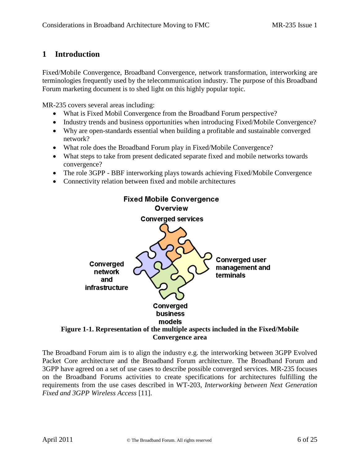# **1 Introduction**

Fixed/Mobile Convergence, Broadband Convergence, network transformation, interworking are terminologies frequently used by the telecommunication industry. The purpose of this Broadband Forum marketing document is to shed light on this highly popular topic.

MR-235 covers several areas including:

- What is Fixed Mobil Convergence from the Broadband Forum perspective?
- Industry trends and business opportunities when introducing Fixed/Mobile Convergence?
- Why are open-standards essential when building a profitable and sustainable converged network?
- What role does the Broadband Forum play in Fixed/Mobile Convergence?
- What steps to take from present dedicated separate fixed and mobile networks towards convergence?
- The role 3GPP BBF interworking plays towards achieving Fixed/Mobile Convergence
- Connectivity relation between fixed and mobile architectures



The Broadband Forum aim is to align the industry e.g. the interworking between 3GPP Evolved Packet Core architecture and the Broadband Forum architecture. The Broadband Forum and 3GPP have agreed on a set of use cases to describe possible converged services. MR-235 focuses on the Broadband Forums activities to create specifications for architectures fulfilling the requirements from the use cases described in WT-203, *Interworking between Next Generation Fixed and 3GPP Wireless Access* [11].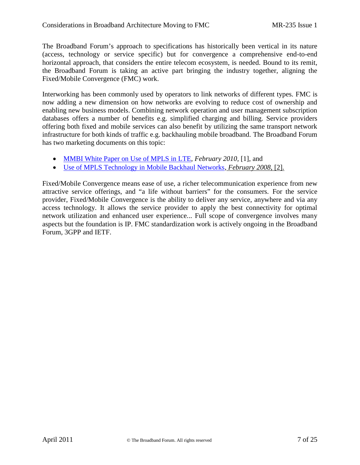The Broadband Forur as approach to specifications has historically been vertical in its nature (access, technology or service specific) but for convergence a comprehensite end horizontal approach that considers the entire telecom ecosystem eeded Bound to its remit, the Broadband Forum is taking an active part bringing the industry together, aligning the Fixed/Mobile Convergence (FMC) work.

Interworkinghas beencommonly used by operators link networks of different types. FMC is now adding a new dimension on how networks are evolving to reduce cost of ownership and enabling new business models. Combining network operation and user management subscription databases offers a number of benefits e.g. simplified charging and billing ceSproviders offering both fixed and mobile services can also benefit by utilizing the same transport network infrastructure for both kinds of traffic e.g. backhauling mobile broadbame Broadband Forum has two marketing documents on this topic:

- ð [MMBI White Paper on Use of MPLS in](http://www.broadband-forum.org/marketing/download/mktgdocs/MR-238.pdf) LTE ebruary 2010[1], and
- ð [Use of MPLS Technology in Mobile Backhaul Ne](http://www.broadband-forum.org/marketing/download/mktgdocs/IPMPLSMobileBackhaulWhitePaper.pdf)tworksbruary 2008[2].

Fixed/Mobile Convergence meanase of use, a richer telecommunication experience from new attractive service offerings, and •a life without barriers, for the consuments. the service provider, Fixed/Mobile Convergence is the ability to deliver as envice, anywhere and via any accesstechnology.It allows the service provider to apply the best connectivity for optimal network utilization and enhanced user experiend all scope of convergence involves many aspects but the foundation is IP. FMC standardization work is actively oning the Broadband Forum, 3GPP and IETF.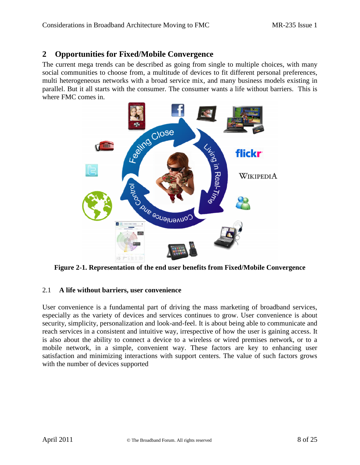## **2 Opportunities for Fixed/Mobile Convergence**

The current mega trends can be described as going from single to multiple choices, with many social communities to choose from, a multitude of devices to fit different personal preferences, multi heterogeneous networks with a broad service mix, and many business models existing in parallel. But it all starts with the consumer. The consumer wants a life without barriers. This is where FMC comes in.



**Figure 2-1. Representation of the end user benefits from Fixed/Mobile Convergence**

#### 2.1 **A life without barriers, user convenience**

User convenience is a fundamental part of driving the mass marketing of broadband services, especially as the variety of devices and services continues to grow. User convenience is about security, simplicity, personalization and look-and-feel. It is about being able to communicate and reach services in a consistent and intuitive way, irrespective of how the user is gaining access. It is also about the ability to connect a device to a wireless or wired premises network, or to a mobile network, in a simple, convenient way. These factors are key to enhancing user satisfaction and minimizing interactions with support centers. The value of such factors grows with the number of devices supported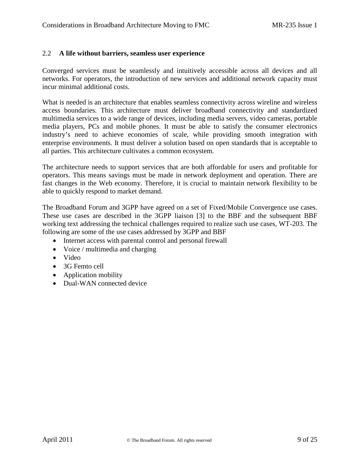#### 2.2 **A life without barriers, seamless user experience**

Converged services must be seamlessly and intuitively accessible across all devices and all networks. For operators, the introduction of new services and additional network capacity must incur minimal additional costs.

What is needed is an architecture that enables seamless connectivity across wireline and wireless access boundaries. This architecture must deliver broadband connectivity and standardized multimedia services to a wide range of devices, including media servers, video cameras, portable media players, PCs and mobile phones. It must be able to satisfy the consumer electronics industry's need to achieve economies of scale, while providing smooth integration with enterprise environments. It must deliver a solution based on open standards that is acceptable to all parties. This architecture cultivates a common ecosystem.

The architecture needs to support services that are both affordable for users and profitable for operators. This means savings must be made in network deployment and operation. There are fast changes in the Web economy. Therefore, it is crucial to maintain network flexibility to be able to quickly respond to market demand.

The Broadband Forum and 3GPP have agreed on a set of Fixed/Mobile Convergence use cases. These use cases are described in the 3GPP liaison [3] to the BBF and the subsequent BBF working text addressing the technical challenges required to realize such use cases, WT-203. The following are some of the use cases addressed by 3GPP and BBF

- Internet access with parental control and personal firewall
- Voice / multimedia and charging
- Video
- 3G Femto cell
- Application mobility
- Dual-WAN connected device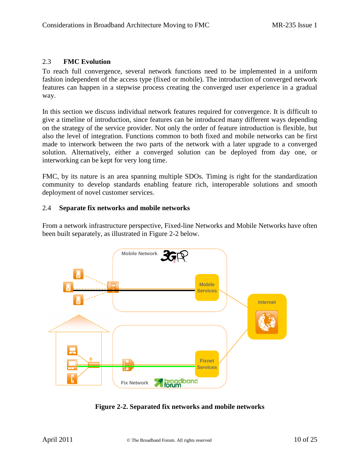#### 2.3 **FMC Evolution**

To reach full convergence, several network functions need to be implemented in a uniform fashion independent of the access type (fixed or mobile). The introduction of converged network features can happen in a stepwise process creating the converged user experience in a gradual way.

In this section we discuss individual network features required for convergence. It is difficult to give a timeline of introduction, since features can be introduced many different ways depending on the strategy of the service provider. Not only the order of feature introduction is flexible, but also the level of integration. Functions common to both fixed and mobile networks can be first made to interwork between the two parts of the network with a later upgrade to a converged solution. Alternatively, either a converged solution can be deployed from day one, or interworking can be kept for very long time.

FMC, by its nature is an area spanning multiple SDOs. Timing is right for the standardization community to develop standards enabling feature rich, interoperable solutions and smooth deployment of novel customer services.

#### 2.4 **Separate fix networks and mobile networks**

From a network infrastructure perspective, Fixed-line Networks and Mobile Networks have often been built separately, as illustrated in Figure 2-2 below.



**Figure 2-2. Separated fix networks and mobile networks**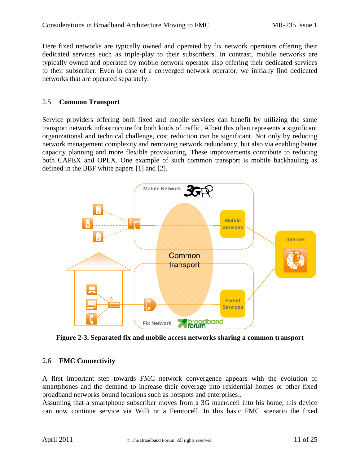Here fixed networks are typically owned and operated by fix network operators offering their dedicated services such as triple-play to their subscribers. In contrast, mobile networks are typically owned and operated by mobile network operator also offering their dedicated services to their subscriber. Even in case of a converged network operator, we initially find dedicated networks that are operated separately.

#### 2.5 **Common Transport**

Service providers offering both fixed and mobile services can benefit by utilizing the same transport network infrastructure for both kinds of traffic. Albeit this often represents a significant organizational and technical challenge, cost reduction can be significant. Not only by reducing network management complexity and removing network redundancy, but also via enabling better capacity planning and more flexible provisioning. These improvements contribute to reducing both CAPEX and OPEX. One example of such common transport is mobile backhauling as defined in the BBF white papers [1] and [2].



**Figure 2-3. Separated fix and mobile access networks sharing a common transport**

#### 2.6 **FMC Connectivity**

A first important step towards FMC network convergence appears with the evolution of smartphones and the demand to increase their coverage into residential homes or other fixed broadband networks bound locations such as hotspots and enterprises..

Assuming that a smartphone subscriber moves from a 3G macrocell into his home, this device can now continue service via WiFi or a Femtocell. In this basic FMC scenario the fixed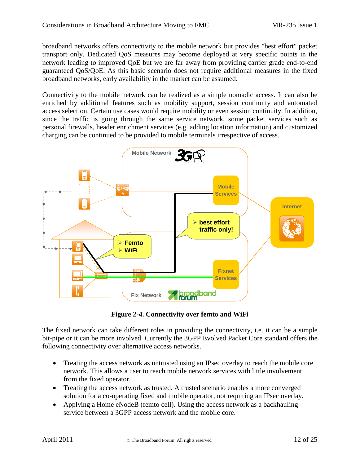broadband networks offers connectivity to the mobile network but provides "best effort" packet transport only. Dedicated QoS measures may become deployed at very specific points in the network leading to improved QoE but we are far away from providing carrier grade end-to-end guaranteed QoS/QoE. As this basic scenario does not require additional measures in the fixed broadband networks, early availability in the market can be assumed.

Connectivity to the mobile network can be realized as a simple nomadic access. It can also be enriched by additional features such as mobility support, session continuity and automated access selection. Certain use cases would require mobility or even session continuity. In addition, since the traffic is going through the same service network, some packet services such as personal firewalls, header enrichment services (e.g. adding location information) and customized charging can be continued to be provided to mobile terminals irrespective of access.



**Figure 2-4. Connectivity over femto and WiFi**

The fixed network can take different roles in providing the connectivity, i.e. it can be a simple bit-pipe or it can be more involved. Currently the 3GPP Evolved Packet Core standard offers the following connectivity over alternative access networks.

- Treating the access network as untrusted using an IPsec overlay to reach the mobile core network. This allows a user to reach mobile network services with little involvement from the fixed operator.
- Treating the access network as trusted. A trusted scenario enables a more converged solution for a co-operating fixed and mobile operator, not requiring an IPsec overlay.
- Applying a Home eNodeB (femto cell). Using the access network as a backhauling service between a 3GPP access network and the mobile core.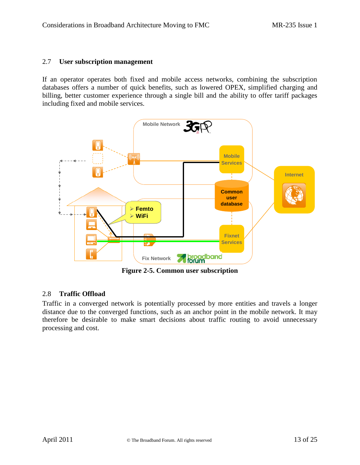#### 2.7 **User subscription management**

If an operator operates both fixed and mobile access networks, combining the subscription **Simple Interworking (trusted or untrusted)** databases offers a number of quick benefits, such as lowered OPEX, simplified charging and billing, better customer experience through a single bill and the ability to offer tariff packages including fixed and mobile services.



# 5 2.8 **Traffic Offload**

Traffic in a converged network is potentially processed by more entities and travels a longer distance due to the converged functions, such as an anchor point in the mobile network. It may therefore be desirable to make smart decisions about traffic routing to avoid unnecessary processing and cost.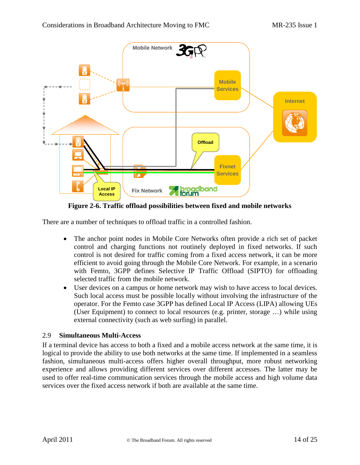

**Figure 2-6. Traffic offload possibilities between fixed and mobile networks**

There are a number of techniques to offload traffic in a controlled fashion.

- The anchor point nodes in Mobile Core Networks often provide a rich set of packet control and charging functions not routinely deployed in fixed networks. If such control is not desired for traffic coming from a fixed access network, it can be more efficient to avoid going through the Mobile Core Network. For example, in a scenario with Femto, 3GPP defines Selective IP Traffic Offload (SIPTO) for offloading selected traffic from the mobile network.
- User devices on a campus or home network may wish to have access to local devices. Such local access must be possible locally without involving the infrastructure of the operator. For the Femto case 3GPP has defined Local IP Access (LIPA) allowing UEs (User Equipment) to connect to local resources (e.g. printer, storage …) while using external connectivity (such as web surfing) in parallel.

#### 2.9 **Simultaneous Multi-Access**

If a terminal device has access to both a fixed and a mobile access network at the same time, it is logical to provide the ability to use both networks at the same time. If implemented in a seamless fashion, simultaneous multi-access offers higher overall throughput, more robust networking experience and allows providing different services over different accesses. The latter may be used to offer real-time communication services through the mobile access and high volume data services over the fixed access network if both are available at the same time.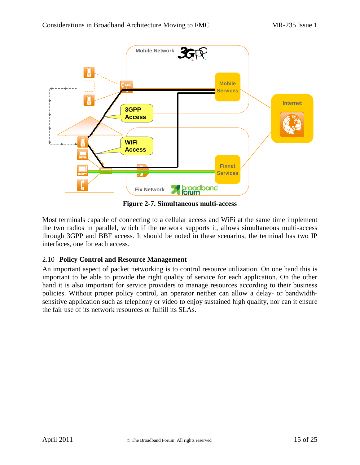

**Figure 2-7. Simultaneous multi-access**

Most terminals capable of connecting to a cellular access and WiFi at the same time implement the two radios in parallel, which if the network supports it, allows simultaneous multi-access through 3GPP and BBF access. It should be noted in these scenarios, the terminal has two IP interfaces, one for each access.

#### 2.10 **Policy Control and Resource Management**

An important aspect of packet networking is to control resource utilization. On one hand this is important to be able to provide the right quality of service for each application. On the other hand it is also important for service providers to manage resources according to their business policies. Without proper policy control, an operator neither can allow a delay- or bandwidthsensitive application such as telephony or video to enjoy sustained high quality, nor can it ensure the fair use of its network resources or fulfill its SLAs.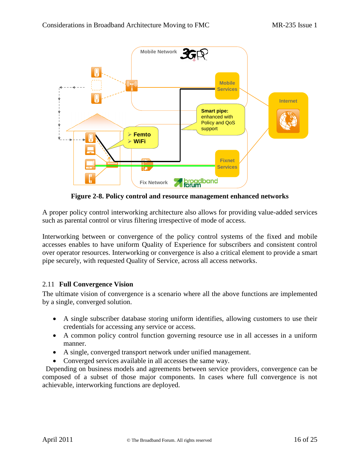

**Figure 2-8. Policy control and resource management enhanced networks**

7 A proper policy control interworking architecture also allows for providing value-added services such as parental control or virus filtering irrespective of mode of access.

Interworking between or convergence of the policy control systems of the fixed and mobile accesses enables to have uniform Quality of Experience for subscribers and consistent control over operator resources. Interworking or convergence is also a critical element to provide a smart pipe securely, with requested Quality of Service, across all access networks.

#### 2.11 **Full Convergence Vision**

The ultimate vision of convergence is a scenario where all the above functions are implemented by a single, converged solution.

- A single subscriber database storing uniform identifies, allowing customers to use their credentials for accessing any service or access.
- A common policy control function governing resource use in all accesses in a uniform manner.
- A single, converged transport network under unified management.
- Converged services available in all accesses the same way.

Depending on business models and agreements between service providers, convergence can be composed of a subset of those major components. In cases where full convergence is not achievable, interworking functions are deployed.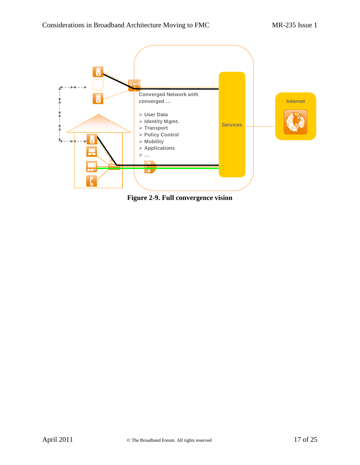

**Figure 2-9. Full convergence vision**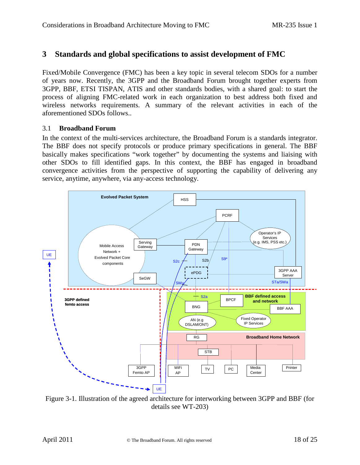### **3 Standards and global specifications to assist development of FMC**

Fixed/Mobile Convergence (FMC) has been a key topic in several telecom SDOs for a number of years now. Recently, the 3GPP and the Broadband Forum brought together experts from 3GPP, BBF, ETSI TISPAN, ATIS and other standards bodies, with a shared goal: to start the process of aligning FMC-related work in each organization to best address both fixed and wireless networks requirements. A summary of the relevant activities in each of the aforementioned SDOs follows..

#### 3.1 **Broadband Forum**

In the context of the multi-services architecture, the Broadband Forum is a standards integrator. The BBF does not specify protocols or produce primary specifications in general. The BBF basically makes specifications "work together" by documenting the systems and liaising with other SDOs to fill identified gaps. In this context, the BBF has engaged in broadband convergence activities from the perspective of supporting the capability of delivering any service, anytime, anywhere, via any-access technology.



Figure 3-1. Illustration of the agreed architecture for interworking between 3GPP and BBF (for details see WT-203)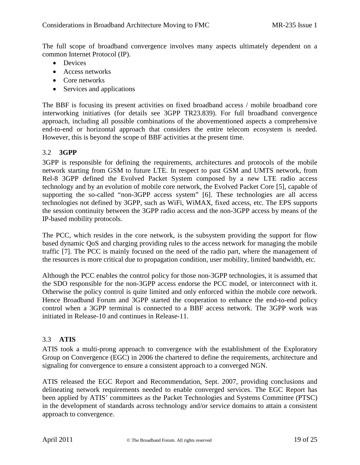The full scope of broadband convergence involves many aspects ultimately dependent on a common Internet Protocol (IP).

- Devices
- Access networks
- Core networks
- Services and applications

The BBF is focusing its present activities on fixed broadband access / mobile broadband core interworking initiatives (for details see 3GPP TR23.839). For full broadband convergence approach, including all possible combinations of the abovementioned aspects a comprehensive end-to-end or horizontal approach that considers the entire telecom ecosystem is needed. However, this is beyond the scope of BBF activities at the present time.

#### 3.2 **3GPP**

3GPP is responsible for defining the requirements, architectures and protocols of the mobile network starting from GSM to future LTE. In respect to past GSM and UMTS network, from Rel-8 3GPP defined the Evolved Packet System composed by a new LTE radio access technology and by an evolution of mobile core network, the Evolved Packet Core [5], capable of supporting the so-called "non-3GPP access system" [6]. These technologies are all access technologies not defined by 3GPP, such as WiFi, WiMAX, fixed access, etc. The EPS supports the session continuity between the 3GPP radio access and the non-3GPP access by means of the IP-based mobility protocols.

The PCC, which resides in the core network, is the subsystem providing the support for flow based dynamic QoS and charging providing rules to the access network for managing the mobile traffic [7]. The PCC is mainly focused on the need of the radio part, where the management of the resources is more critical due to propagation condition, user mobility, limited bandwidth, etc.

Although the PCC enables the control policy for those non-3GPP technologies, it is assumed that the SDO responsible for the non-3GPP access endorse the PCC model, or interconnect with it. Otherwise the policy control is quite limited and only enforced within the mobile core network. Hence Broadband Forum and 3GPP started the cooperation to enhance the end-to-end policy control when a 3GPP terminal is connected to a BBF access network. The 3GPP work was initiated in Release-10 and continues in Release-11.

#### 3.3 **ATIS**

ATIS took a multi-prong approach to convergence with the establishment of the Exploratory Group on Convergence (EGC) in 2006 the chartered to define the requirements, architecture and signaling for convergence to ensure a consistent approach to a converged NGN.

ATIS released the EGC Report and Recommendation, Sept. 2007, providing conclusions and delineating network requirements needed to enable converged services. The EGC Report has been applied by ATIS' committees as the Packet Technologies and Systems Committee (PTSC) in the development of standards across technology and/or service domains to attain a consistent approach to convergence.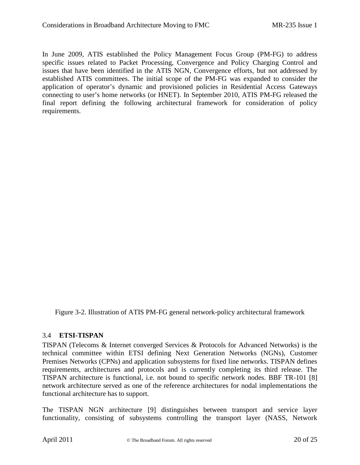In June 2009, ATIS established the Policy Management Focus Group (PM-FG) to address specific issues related to Packet Processing, Convergence and Policy Charging Control and issues that have been identified in the ATIS NGN, Convergence efforts, but not addressed by established ATIS committees. The initial scope of the PM-FG was expanded to consider the application of operator's dynamic and provisioned policies in Residential Access Gateways connecting to user's home networks (or HNET). In September 2010, ATIS PM-FG released the final report defining the following architectural framework for consideration of policy requirements.

Figure 3-2. Illustration of ATIS PM-FG general network-policy architectural framework

#### 3.4 **ETSI-TISPAN**

TISPAN (Telecoms & Internet converged Services & Protocols for Advanced Networks) is the technical committee within ETSI defining Next Generation Networks (NGNs), Customer Premises Networks (CPNs) and application subsystems for fixed line networks. TISPAN defines requirements, architectures and protocols and is currently completing its third release. The TISPAN architecture is functional, i.e. not bound to specific network nodes. BBF TR-101 [8] network architecture served as one of the reference architectures for nodal implementations the functional architecture has to support.

The TISPAN NGN architecture [9] distinguishes between transport and service layer functionality, consisting of subsystems controlling the transport layer (NASS, Network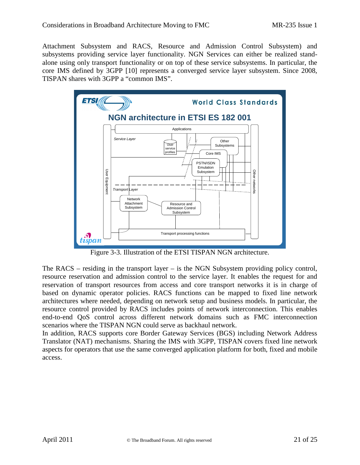Attachment Subsystem and RACS, Resource and Admission Control Subsystem) and subsystems providing service layer functionality. NGN Services can either be realized standalone using only transport functionality or on top of these service subsystems. In particular, the core IMS defined by 3GPP [10] represents a converged service layer subsystem. Since 2008, TISPAN shares with 3GPP a "common IMS".



Figure 3-3. Illustration of the ETSI TISPAN NGN architecture.

The RACS – residing in the transport layer – is the NGN Subsystem providing policy control, resource reservation and admission control to the service layer. It enables the request for and reservation of transport resources from access and core transport networks it is in charge of based on dynamic operator policies. RACS functions can be mapped to fixed line network architectures where needed, depending on network setup and business models. In particular, the resource control provided by RACS includes points of network interconnection. This enables end-to-end QoS control across different network domains such as FMC interconnection scenarios where the TISPAN NGN could serve as backhaul network.

In addition, RACS supports core Border Gateway Services (BGS) including Network Address Translator (NAT) mechanisms. Sharing the IMS with 3GPP, TISPAN covers fixed line network aspects for operators that use the same converged application platform for both, fixed and mobile access.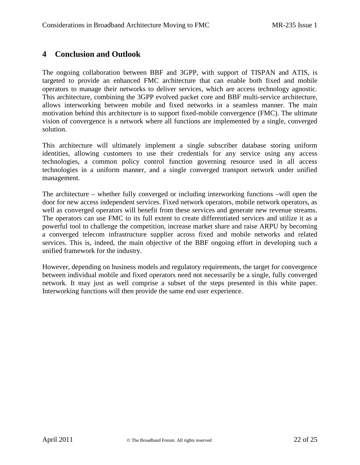## **4 Conclusion and Outlook**

The ongoing collaboration between BBF and 3GPP, with support of TISPAN and ATIS, is targeted to provide an enhanced FMC architecture that can enable both fixed and mobile operators to manage their networks to deliver services, which are access technology agnostic. This architecture, combining the 3GPP evolved packet core and BBF multi-service architecture, allows interworking between mobile and fixed networks in a seamless manner. The main motivation behind this architecture is to support fixed-mobile convergence (FMC). The ultimate vision of convergence is a network where all functions are implemented by a single, converged solution.

This architecture will ultimately implement a single subscriber database storing uniform identities, allowing customers to use their credentials for any service using any access technologies, a common policy control function governing resource used in all access technologies in a uniform manner, and a single converged transport network under unified management.

The architecture – whether fully converged or including interworking functions –will open the door for new access independent services. Fixed network operators, mobile network operators, as well as converged operators will benefit from these services and generate new revenue streams. The operators can use FMC to its full extent to create differentiated services and utilize it as a powerful tool to challenge the competition, increase market share and raise ARPU by becoming a converged telecom infrastructure supplier across fixed and mobile networks and related services. This is, indeed, the main objective of the BBF ongoing effort in developing such a unified framework for the industry.

However, depending on business models and regulatory requirements, the target for convergence between individual mobile and fixed operators need not necessarily be a single, fully converged network. It may just as well comprise a subset of the steps presented in this white paper. Interworking functions will then provide the same end user experience.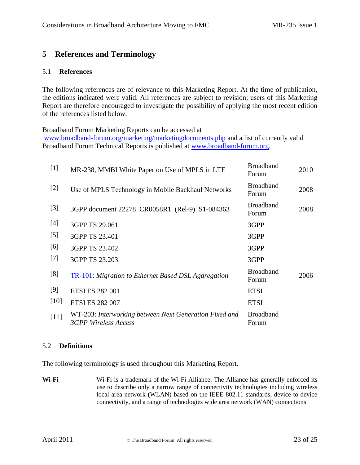# 5 References and Terminology

#### 5.1 References

The following references are of relevance to Marketing Report At the time of publication, the editions indicated were valid. All references are subject to revision; users **Mathisting** Reportare therefore encouraged to investigate the possibility of applying the most recent edition of the references listed below.

Broadband Forum Marketing Reports can be accessed at www.broadbandorum.org/marketing/marketingdocuments.phpd alist of currently valid Broadband Forum Technical Reports is published at whoadband-orum.org.

| $[1]$  | MR-238, MMBI White Paper on Use of MPLS in LTE                                                 | <b>Broadband</b><br>Forum | 2010 |
|--------|------------------------------------------------------------------------------------------------|---------------------------|------|
| $[2]$  | Use of MPLS Technology in Mobile Backhaul Networks                                             | <b>Broadband</b><br>Forum | 2008 |
| $[3]$  | 3GPP documer 2278_CR0058R1_(Re) S1084363                                                       | <b>Broadband</b><br>Forum | 2008 |
| $[4]$  | 3GPP TS 29.061                                                                                 | 3GPP                      |      |
| $[5]$  | 3GPP TS 23.401                                                                                 | 3GPP                      |      |
| [6]    | 3GPP TS 23.402                                                                                 | 3GPP                      |      |
| $[7]$  | 3GPP TS 23.203                                                                                 | 3GPP                      |      |
| [8]    | TR-101: Migration to Ethernet Based DSL Aggregation                                            | <b>Broadband</b><br>Forum | 2006 |
| [9]    | <b>ETSI ES 282 001</b>                                                                         | <b>ETSI</b>               |      |
| $[10]$ | <b>ETSI ES282 007</b>                                                                          | <b>ETSI</b>               |      |
| $[11]$ | WT-203: Interworking between Next Generation Fixed ar Broadband<br><b>3GPP Wireless Access</b> | Forum                     |      |

#### 5.2 Definitions

The following terminology is used throughout the arketing Report.

Wi-Fi Wi-Fi is a trademark of the WFi Alliance. The Alliance has generally enforced use to describe only a narrow range of connectivity technologies including wi local area network (WLAN) based on the IEEE 802.11 standards, device to d connectivity, and a rage of technologiesvide areanetwork (WAN) connections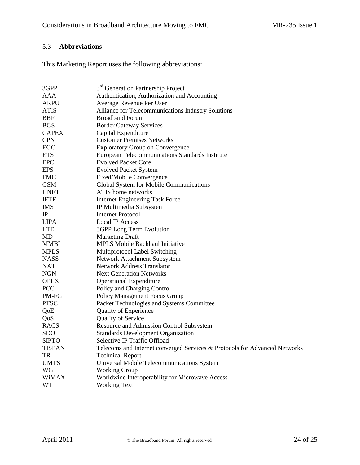# 5.3 **Abbreviations**

This Marketing Report uses the following abbreviations:

| 3GPP          | 3 <sup>rd</sup> Generation Partnership Project                             |
|---------------|----------------------------------------------------------------------------|
| AAA           | Authentication, Authorization and Accounting                               |
| ARPU          | Average Revenue Per User                                                   |
| <b>ATIS</b>   | Alliance for Telecommunications Industry Solutions                         |
| <b>BBF</b>    | <b>Broadband Forum</b>                                                     |
| <b>BGS</b>    | <b>Border Gateway Services</b>                                             |
| <b>CAPEX</b>  | Capital Expenditure                                                        |
| <b>CPN</b>    | <b>Customer Premises Networks</b>                                          |
| <b>EGC</b>    | <b>Exploratory Group on Convergence</b>                                    |
| <b>ETSI</b>   | European Telecommunications Standards Institute                            |
| <b>EPC</b>    | <b>Evolved Packet Core</b>                                                 |
| <b>EPS</b>    | <b>Evolved Packet System</b>                                               |
| <b>FMC</b>    | Fixed/Mobile Convergence                                                   |
| <b>GSM</b>    | Global System for Mobile Communications                                    |
| <b>HNET</b>   | ATIS home networks                                                         |
| <b>IETF</b>   | <b>Internet Engineering Task Force</b>                                     |
| <b>IMS</b>    | IP Multimedia Subsystem                                                    |
| $_{\rm IP}$   | <b>Internet Protocol</b>                                                   |
| LIPA          | <b>Local IP Access</b>                                                     |
| <b>LTE</b>    | 3GPP Long Term Evolution                                                   |
| MD            | <b>Marketing Draft</b>                                                     |
| <b>MMBI</b>   | MPLS Mobile Backhaul Initiative                                            |
| <b>MPLS</b>   | Multiprotocol Label Switching                                              |
| <b>NASS</b>   | Network Attachment Subsystem                                               |
| NAT           | <b>Network Address Translator</b>                                          |
| <b>NGN</b>    | <b>Next Generation Networks</b>                                            |
| <b>OPEX</b>   | <b>Operational Expenditure</b>                                             |
| PCC           | Policy and Charging Control                                                |
| PM-FG         | Policy Management Focus Group                                              |
| <b>PTSC</b>   | Packet Technologies and Systems Committee                                  |
| QoE           | Quality of Experience                                                      |
| QoS           | <b>Quality of Service</b>                                                  |
| <b>RACS</b>   | Resource and Admission Control Subsystem                                   |
| <b>SDO</b>    | <b>Standards Development Organization</b>                                  |
| <b>SIPTO</b>  | Selective IP Traffic Offload                                               |
| <b>TISPAN</b> | Telecoms and Internet converged Services & Protocols for Advanced Networks |
| TR            | <b>Technical Report</b>                                                    |
| <b>UMTS</b>   | Universal Mobile Telecommunications System                                 |
| <b>WG</b>     | <b>Working Group</b>                                                       |
| <b>WiMAX</b>  | Worldwide Interoperability for Microwave Access                            |
| <b>WT</b>     | <b>Working Text</b>                                                        |